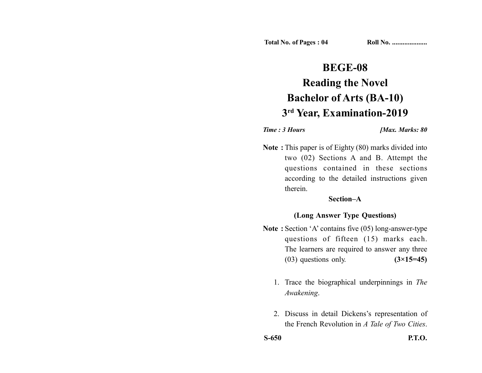# **BEGE-08 Reading the Novel Bachelor of Arts (BA-10) 3rd Year, Examination-2019**

*Time : 3 Hours <i>Max. Marks: 80* 

**Note :** This paper is of Eighty (80) marks divided into two (02) Sections A and B. Attempt the questions contained in these sections according to the detailed instructions given therein.

## **Section–A**

# **(Long Answer Type Questions)**

- **Note :** Section 'A' contains five (05) long-answer-type questions of fifteen (15) marks each. The learners are required to answer any three (03) questions only. **(3×15=45)**
	- 1. Trace the biographical underpinnings in *The Awakening*.
	- 2. Discuss in detail Dickens's representation of the French Revolution in *A Tale of Two Cities*.

**S-650 P.T.O.**